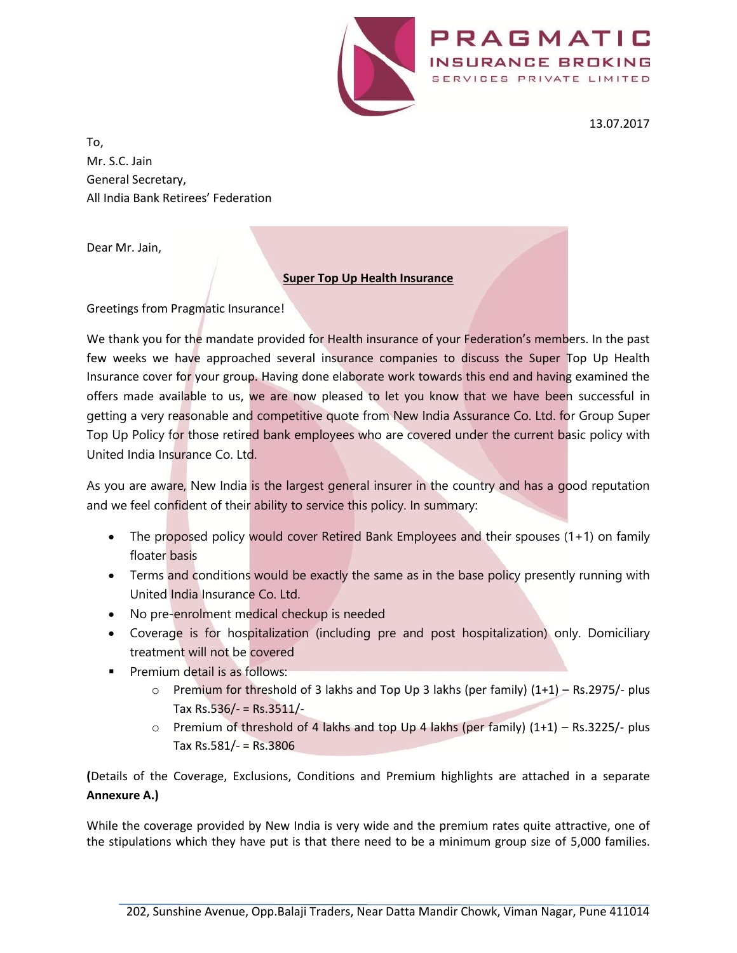

13.07.2017

PRAGMATIC

SERVICES PRIVATE LIMITED

To, Mr. S.C. Jain General Secretary, All India Bank Retirees' Federation

Dear Mr. Jain,

#### **Super Top Up Health Insurance**

Greetings from Pragmatic Insurance!

We thank you for the mandate provided for Health insurance of your Federation's members. In the past few weeks we have approached several insurance companies to discuss the Super Top Up Health Insurance cover for your group. Having done elaborate work towards this end and having examined the offers made available to us, we are now pleased to let you know that we have been successful in getting a very reasonable and competitive quote from New India Assurance Co. Ltd. for Group Super Top Up Policy for those retired bank employees who are covered under the current basic policy with United India Insurance Co. Ltd.

As you are aware, New India is the largest general insurer in the country and has a good reputation and we feel confident of their ability to service this policy. In summary:

- The proposed policy would cover Retired Bank Employees and their spouses (1+1) on family floater basis
- Terms and conditions would be exactly the same as in the base policy presently running with United India Insurance Co. Ltd.
- No pre-enrolment medical checkup is needed
- Coverage is for hospitalization (including pre and post hospitalization) only. Domiciliary treatment will not be covered
- **Premium detail is as follows:** 
	- $\circ$  Premium for threshold of 3 lakhs and Top Up 3 lakhs (per family)  $(1+1)$  Rs.2975/- plus Tax Rs.536/- = Rs.3511/-
	- o Premium of threshold of 4 lakhs and top Up 4 lakhs (per family) (1+1) Rs.3225/- plus Tax Rs.581/- = Rs.3806

**(**Details of the Coverage, Exclusions, Conditions and Premium highlights are attached in a separate **Annexure A.)**

While the coverage provided by New India is very wide and the premium rates quite attractive, one of the stipulations which they have put is that there need to be a minimum group size of 5,000 families.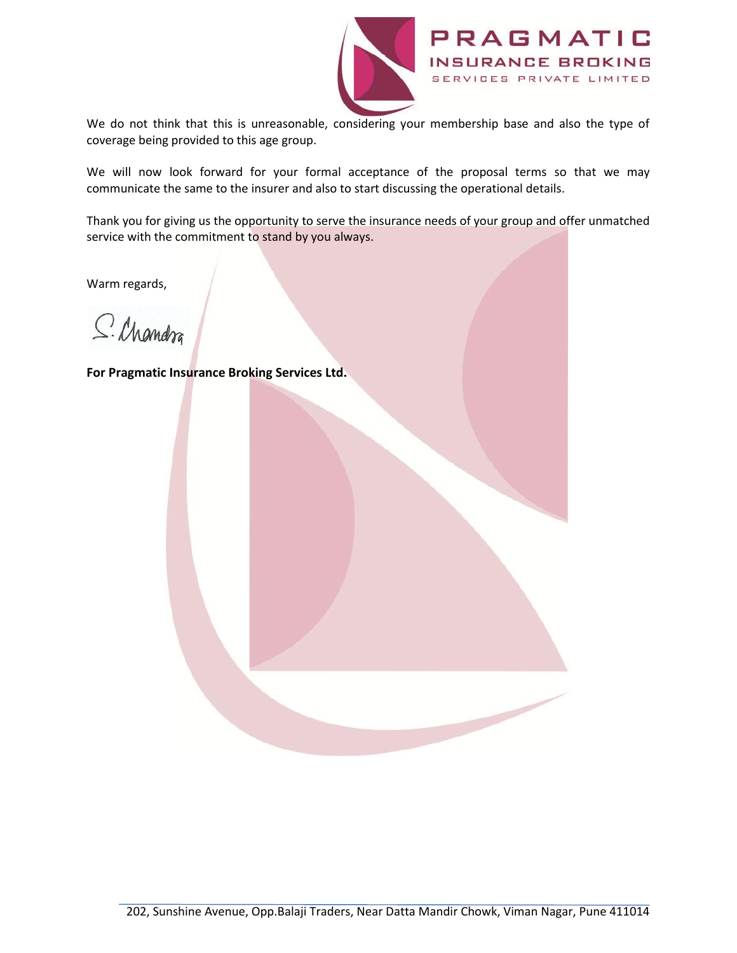

We do not think that this is unreasonable, considering your membership base and also the type of coverage being provided to this age group.

We will now look forward for your formal acceptance of the proposal terms so that we may communicate the same to the insurer and also to start discussing the operational details.

Thank you for giving us the opportunity to serve the insurance needs of your group and offer unmatched service with the commitment to stand by you always.

Warm regards,

S. Chandra

**For Pragmatic Insurance Broking Services Ltd.**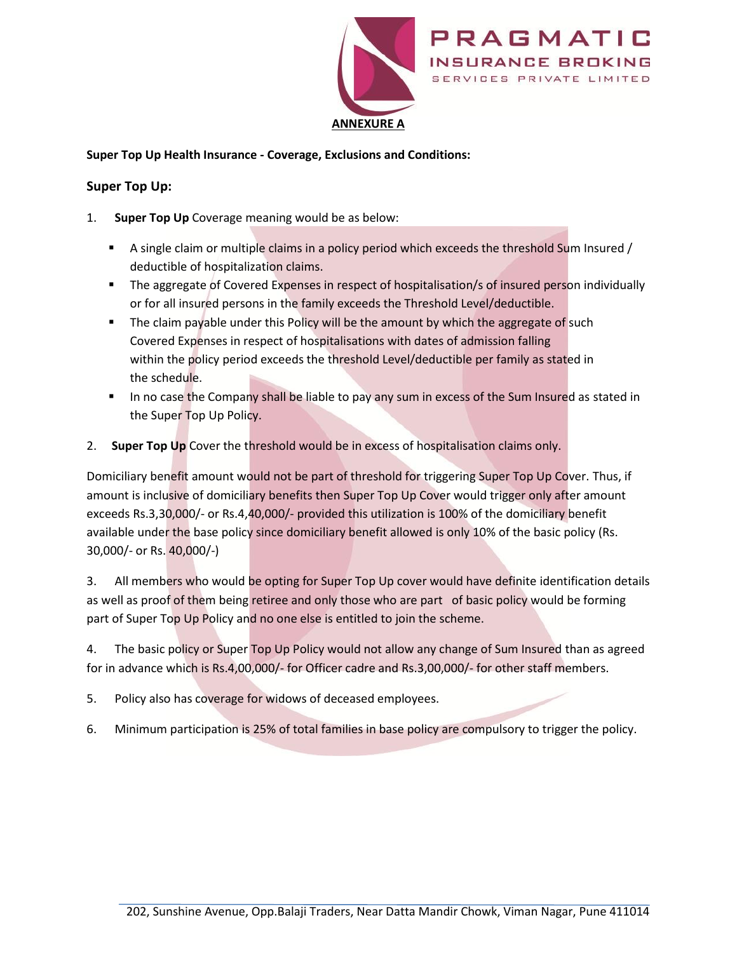

### **Super Top Up Health Insurance - Coverage, Exclusions and Conditions:**

### **Super Top Up:**

- 1. **Super Top Up** Coverage meaning would be as below:
	- A single claim or multiple claims in a policy period which exceeds the threshold Sum Insured / deductible of hospitalization claims.
	- **The aggregate of Covered Expenses in respect of hospitalisation/s of insured person individually** or for all insured persons in the family exceeds the Threshold Level/deductible.
	- **The claim payable under this Policy will be the amount by which the aggregate of such** Covered Expenses in respect of hospitalisations with dates of admission falling within the policy period exceeds the threshold Level/deductible per family as stated in the schedule.
	- In no case the Company shall be liable to pay any sum in excess of the Sum Insured as stated in the Super Top Up Policy.
- 2. **Super Top Up** Cover the threshold would be in excess of hospitalisation claims only.

Domiciliary benefit amount would not be part of threshold for triggering Super Top Up Cover. Thus, if amount is inclusive of domiciliary benefits then Super Top Up Cover would trigger only after amount exceeds Rs.3,30,000/- or Rs.4,40,000/- provided this utilization is 100% of the domiciliary benefit available under the base policy since domiciliary benefit allowed is only 10% of the basic policy (Rs. 30,000/- or Rs. 40,000/-)

3. All members who would be opting for Super Top Up cover would have definite identification details as well as proof of them being retiree and only those who are part of basic policy would be forming part of Super Top Up Policy and no one else is entitled to join the scheme.

4. The basic policy or Super Top Up Policy would not allow any change of Sum Insured than as agreed for in advance which is Rs.4,00,000/- for Officer cadre and Rs.3,00,000/- for other staff members.

- 5. Policy also has coverage for widows of deceased employees.
- 6. Minimum participation is 25% of total families in base policy are compulsory to trigger the policy.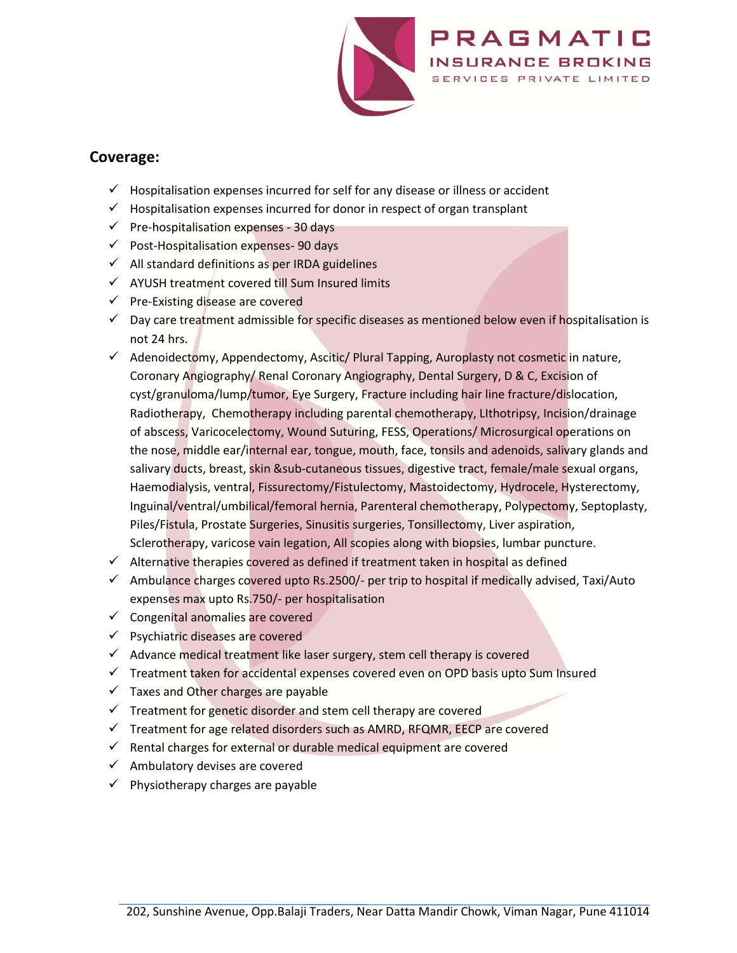

# **Coverage:**

- $\checkmark$  Hospitalisation expenses incurred for self for any disease or illness or accident
- $\checkmark$  Hospitalisation expenses incurred for donor in respect of organ transplant
- $\checkmark$  Pre-hospitalisation expenses 30 days
- $\checkmark$  Post-Hospitalisation expenses- 90 days
- $\checkmark$  All standard definitions as per IRDA guidelines
- $\checkmark$  AYUSH treatment covered till Sum Insured limits
- $\checkmark$  Pre-Existing disease are covered
- $\checkmark$  Day care treatment admissible for specific diseases as mentioned below even if hospitalisation is not 24 hrs.
- $\checkmark$  Adenoidectomy, Appendectomy, Ascitic/ Plural Tapping, Auroplasty not cosmetic in nature, Coronary Angiography/ Renal Coronary Angiography, Dental Surgery, D & C, Excision of cyst/granuloma/lump/tumor, Eye Surgery, Fracture including hair line fracture/dislocation, Radiotherapy, Chemotherapy including parental chemotherapy, LIthotripsy, Incision/drainage of abscess, Varicocelectomy, Wound Suturing, FESS, Operations/ Microsurgical operations on the nose, middle ear/internal ear, tongue, mouth, face, tonsils and adenoids, salivary glands and salivary ducts, breast, skin &sub-cutaneous tissues, digestive tract, female/male sexual organs, Haemodialysis, ventral, Fissurectomy/Fistulectomy, Mastoidectomy, Hydrocele, Hysterectomy, Inguinal/ventral/umbilical/femoral hernia, Parenteral chemotherapy, Polypectomy, Septoplasty, Piles/Fistula, Prostate Surgeries, Sinusitis surgeries, Tonsillectomy, Liver aspiration, Sclerotherapy, varicose vain legation, All scopies along with biopsies, lumbar puncture.
- $\checkmark$  Alternative therapies covered as defined if treatment taken in hospital as defined
- $\checkmark$  Ambulance charges covered upto Rs.2500/- per trip to hospital if medically advised, Taxi/Auto expenses max upto Rs.750/- per hospitalisation
- $\checkmark$  Congenital anomalies are covered
- $\checkmark$  Psychiatric diseases are covered
- $\checkmark$  Advance medical treatment like laser surgery, stem cell therapy is covered
- $\checkmark$  Treatment taken for accidental expenses covered even on OPD basis upto Sum Insured
- $\checkmark$  Taxes and Other charges are payable
- $\checkmark$  Treatment for genetic disorder and stem cell therapy are covered
- $\checkmark$  Treatment for age related disorders such as AMRD, RFQMR, EECP are covered
- $\checkmark$  Rental charges for external or durable medical equipment are covered
- $\checkmark$  Ambulatory devises are covered
- $\checkmark$  Physiotherapy charges are payable